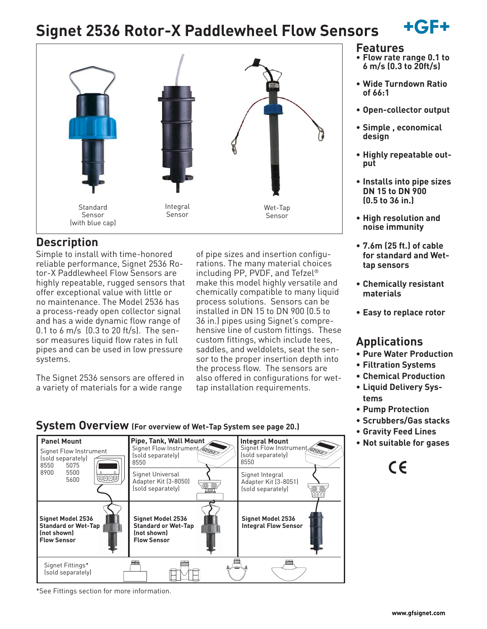# **Signet 2536 Rotor-X Paddlewheel Flow Sensors**





## **Description**

Simple to install with time-honored reliable performance, Signet 2536 Rotor-X Paddlewheel Flow Sensors are highly repeatable, rugged sensors that offer exceptional value with little or no maintenance. The Model 2536 has a process-ready open collector signal and has a wide dynamic flow range of 0.1 to 6 m/s (0.3 to 20 ft/s). The sensor measures liquid flow rates in full pipes and can be used in low pressure systems.

The Signet 2536 sensors are offered in a variety of materials for a wide range

of pipe sizes and insertion configurations. The many material choices including PP, PVDF, and Tefzel® make this model highly versatile and chemically compatible to many liquid process solutions. Sensors can be installed in DN 15 to DN 900 (0.5 to 36 in.) pipes using Signet's comprehensive line of custom fittings. These custom fittings, which include tees, saddles, and weldolets, seat the sensor to the proper insertion depth into the process flow. The sensors are also offered in configurations for wettap installation requirements.

#### Panel Mount **Pipe, Tank, Wall Mount Panel Mount** Signet Flow Instrument Signet Flow Instrument Signet Flow Instrument (sold separately) (sold separately) (sold separately)<br>8550 5075 8550 8550 8550<br>8900 8900 5500 Signet Universal Signet Integral **@@@@**  5600 Adapter Kit (3-8050) Adapter Kit (3-8051) (sold separately) (sold separately) **Signet Model 2536 Signet Model 2536 Signet Model 2536 Standard or Wet-Tap Standard or Wet-Tap Integral Flow Sensor (not shown) (not shown) Flow Sensor Flow Sensor** Signet Fittings\* (sold separately)

## **System Overview (For overview of Wet-Tap System see page 20.)**

\*See Fittings section for more information.

## **Features**

- **Flow rate range 0.1 to 6 m/s (0.3 to 20ft/s)**
- **Wide Turndown Ratio of 66:1**
- **Open-collector output**
- **Simple , economical design**
- **Highly repeatable output**
- **Installs into pipe sizes DN 15 to DN 900 (0.5 to 36 in.)**
- **High resolution and noise immunity**
- **7.6m (25 ft.) of cable for standard and Wettap sensors**
- **Chemically resistant materials**
- **Easy to replace rotor**

## **Applications**

- **Pure Water Production**
- **Filtration Systems**
- **Chemical Production • Liquid Delivery Sys-**
- **tems**
- **Pump Protection**
- **Scrubbers/Gas stacks**
- **Gravity Feed Lines**
- **Not suitable for gases**

 $\epsilon$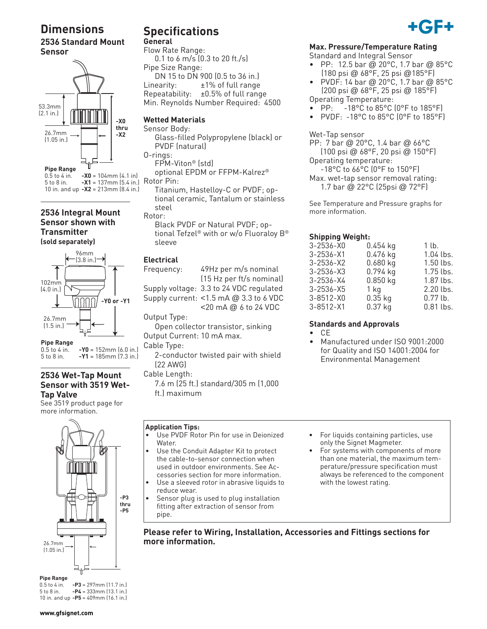## **Dimensions**

## **2536 Standard Mount Sensor**



## **2536 Integral Mount Sensor shown with Transmitter**

**(sold separately)**



**Pipe Range**<br>0.5 to 4 in. 0.5 to 4 in. **-Y0** = 152mm (6.0 in.)  $-Y1 = 185$ mm (7.3 in.)

#### **2536 Wet-Tap Mount Sensor with 3519 Wet-Tap Valve**

See 3519 product page for more information.



**Pipe Range**<br>0.5 to 4 in. 0.5 to 4 in. **-P3** = 297mm (11.7 in.)<br>5 to 8 in. **-P4** = 333mm (13.1 in.)  $-P4 = 333$ mm (13.1 in.) 10 in. and up **-P5** = 409mm (16.1 in.)

## **Specifications**

**General**

Flow Rate Range: 0.1 to 6 m/s (0.3 to 20 ft./s) Pipe Size Range: DN 15 to DN 900 (0.5 to 36 in.)<br>Linearity: <br>t1% of full range  $±1%$  of full range Repeatability: ±0.5% of full range Min. Reynolds Number Required: 4500

## **Wetted Materials**

Sensor Body:

- Glass-filled Polypropylene (black) or PVDF (natural)
- O-rings: FPM-Viton® (std)

 optional EPDM or FFPM-Kalrez® Rotor Pin:

 Titanium, Hastelloy-C or PVDF; optional ceramic, Tantalum or stainless steel

Rotor:

 Black PVDF or Natural PVDF; optional Tefzel® with or w/o Fluoraloy B® sleeve

### **Electrical**

Frequency: 49Hz per m/s nominal (15 Hz per ft/s nominal) Supply voltage: 3.3 to 24 VDC regulated Supply current: <1.5 mA @ 3.3 to 6 VDC <20 mA @ 6 to 24 VDC

Output Type:

 Open collector transistor, sinking Output Current: 10 mA max.

#### Cable Type:

- 2-conductor twisted pair with shield (22 AWG)
- 7.6 m (25 ft.) standard/305 m (1,000 ft.) maximum

### **Application Tips:**

- Use PVDF Rotor Pin for use in Deionized Water.
- Use the Conduit Adapter Kit to protect the cable-to-sensor connection when used in outdoor environments. See Accessories section for more information.
- Use a sleeved rotor in abrasive liquids to reduce wear.
- Sensor plug is used to plug installation fitting after extraction of sensor from pipe.
- For liquids containing particles, use only the Signet Magmeter.
- For systems with components of more than one material, the maximum temperature/pressure specification must always be referenced to the component with the lowest rating.

**Please refer to Wiring, Installation, Accessories and Fittings sections for more information.**

## **Max. Pressure/Temperature Rating**

Standard and Integral Sensor

- PP: 12.5 bar @ 20°C, 1.7 bar @ 85°C (180 psi @ 68°F, 25 psi @185°F)
- PVDF: 14 bar @ 20°C, 1.7 bar @ 85°C (200 psi @ 68°F, 25 psi @ 185°F) Operating Temperature:
- PP: -18°C to 85°C (0°F to 185°F)
- PVDF: -18°C to 85°C (0°F to 185°F)

Wet-Tap sensor

PP: 7 bar @ 20°C, 1.4 bar @ 66°C

- (100 psi @ 68°F, 20 psi @ 150°F) Operating temperature:
- -18°C to 66°C (0°F to 150°F)

Max. wet-tap sensor removal rating: 1.7 bar @ 22°C (25psi @ 72°F)

See Temperature and Pressure graphs for more information.

## **Shipping Weight:**

| 3-2536-X0 | $0.454$ kg | $1$ lb.     |
|-----------|------------|-------------|
| 3-2536-X1 | 0.476 kg   | $1.04$ lbs. |
| 3-2536-X2 | $0.680$ kg | $1.50$ lbs. |
| 3-2536-X3 | 0.794 kg   | 1.75 lbs.   |
| 3-2536-X4 | $0.850$ kg | 1.87 lbs.   |
| 3-2536-X5 | 1 kg       | $2.20$ lbs. |
| 3-8512-X0 | $0.35$ kg  | $0.77$ lb.  |
| 3-8512-X1 | $0.37$ kg  | $0.81$ lbs. |
|           |            |             |

### **Standards and Approvals**

- CE
- Manufactured under ISO 9001:2000 for Quality and ISO 14001:2004 for Environmental Management

**www.gfsignet.com**

Cable Length: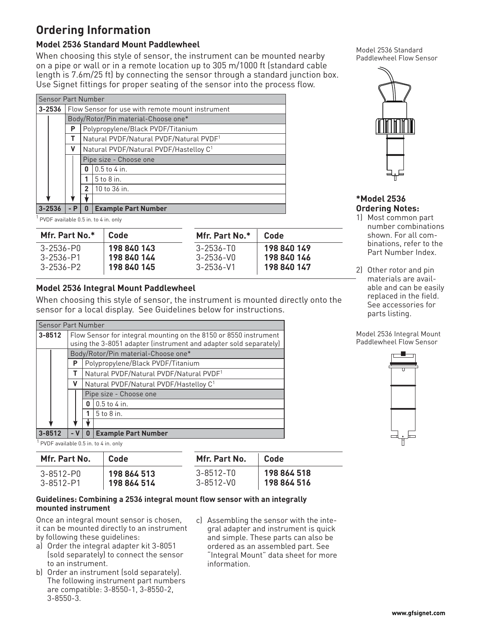## **Ordering Information**

## **Model 2536 Standard Mount Paddlewheel**

When choosing this style of sensor, the instrument can be mounted nearby on a pipe or wall or in a remote location up to 305 m/1000 ft (standard cable length is 7.6m/25 ft) by connecting the sensor through a standard junction box. Use Signet fittings for proper seating of the sensor into the process flow.

| <b>Sensor Part Number</b>    |                                                  |                                                     |                            |  |  |  |
|------------------------------|--------------------------------------------------|-----------------------------------------------------|----------------------------|--|--|--|
| $3 - 2536$                   | Flow Sensor for use with remote mount instrument |                                                     |                            |  |  |  |
|                              |                                                  | Body/Rotor/Pin material-Choose one*                 |                            |  |  |  |
|                              | P                                                | Polypropylene/Black PVDF/Titanium                   |                            |  |  |  |
|                              |                                                  | Natural PVDF/Natural PVDF/Natural PVDF <sup>1</sup> |                            |  |  |  |
|                              | ۷                                                | Natural PVDF/Natural PVDF/Hastelloy C <sup>1</sup>  |                            |  |  |  |
|                              |                                                  | Pipe size - Choose one                              |                            |  |  |  |
|                              |                                                  | $0.5$ to $4$ in.                                    |                            |  |  |  |
|                              | 5 to 8 in.                                       |                                                     |                            |  |  |  |
| 10 to 36 in.<br>$\mathbf{c}$ |                                                  |                                                     |                            |  |  |  |
|                              |                                                  |                                                     |                            |  |  |  |
| $3 - 2536$                   | - P                                              | 0                                                   | <b>Example Part Number</b> |  |  |  |

1 PVDF available 0.5 in. to 4 in. only

| Mfr. Part No.* | Code        | Mfr. Part No.* | Code        |
|----------------|-------------|----------------|-------------|
| 3-2536-PO      | 198 840 143 | 3-2536-TO      | 198 840 149 |
| 3-2536-P1      | 198 840 144 | 3-2536-VO      | 198 840 146 |
| 3-2536-P2      | 198 840 145 | 3-2536-V1      | 198 840 147 |

## **Model 2536 Integral Mount Paddlewheel**

When choosing this style of sensor, the instrument is mounted directly onto the sensor for a local display. See Guidelines below for instructions.

| <b>Sensor Part Number</b> |  |                                                                  |                                                     |                                                                   |  |  |  |
|---------------------------|--|------------------------------------------------------------------|-----------------------------------------------------|-------------------------------------------------------------------|--|--|--|
| $3 - 8512$                |  | Flow Sensor for integral mounting on the 8150 or 8550 instrument |                                                     |                                                                   |  |  |  |
|                           |  |                                                                  |                                                     | using the 3-8051 adapter (instrument and adapter sold separately) |  |  |  |
|                           |  |                                                                  | Body/Rotor/Pin material-Choose one*                 |                                                                   |  |  |  |
|                           |  | P                                                                | Polypropylene/Black PVDF/Titanium                   |                                                                   |  |  |  |
|                           |  |                                                                  | Natural PVDF/Natural PVDF/Natural PVDF <sup>1</sup> |                                                                   |  |  |  |
|                           |  | v                                                                | Natural PVDF/Natural PVDF/Hastelloy C <sup>1</sup>  |                                                                   |  |  |  |
|                           |  |                                                                  | Pipe size - Choose one<br>$0.5$ to 4 in.<br>ŋ       |                                                                   |  |  |  |
|                           |  |                                                                  |                                                     |                                                                   |  |  |  |
|                           |  | $5$ to $8$ in.                                                   |                                                     |                                                                   |  |  |  |
|                           |  |                                                                  |                                                     |                                                                   |  |  |  |
| $3 - 8512$                |  | $\mathbf v$                                                      | N                                                   | <b>Example Part Number</b>                                        |  |  |  |

 $1$  PVDF available 0.5 in. to 4 in. only

| Mfr. Part No. | Code        | Mfr. Part No. | Code        |
|---------------|-------------|---------------|-------------|
| 3-8512-P0     | 198 864 513 | 3-8512-TO     | 198 864 518 |
| 3-8512-P1     | 198 864 514 | 3-8512-V0     | 198 864 516 |

#### **Guidelines: Combining a 2536 integral mount flow sensor with an integrally mounted instrument**

Once an integral mount sensor is chosen, it can be mounted directly to an instrument by following these guidelines:

- a) Order the integral adapter kit 3-8051 (sold separately) to connect the sensor to an instrument.
- b) Order an instrument (sold separately). The following instrument part numbers are compatible: 3-8550-1, 3-8550-2, 3-8550-3.
- c) Assembling the sensor with the integral adapter and instrument is quick and simple. These parts can also be ordered as an assembled part. See "Integral Mount" data sheet for more information.

Model 2536 Standard Paddlewheel Flow Sensor



### **\*Model 2536 Ordering Notes:**

- 1) Most common part number combinations shown. For all combinations, refer to the Part Number Index.
- 2) Other rotor and pin materials are available and can be easily replaced in the field. See accessories for parts listing.

Model 2536 Integral Mount Paddlewheel Flow Sensor